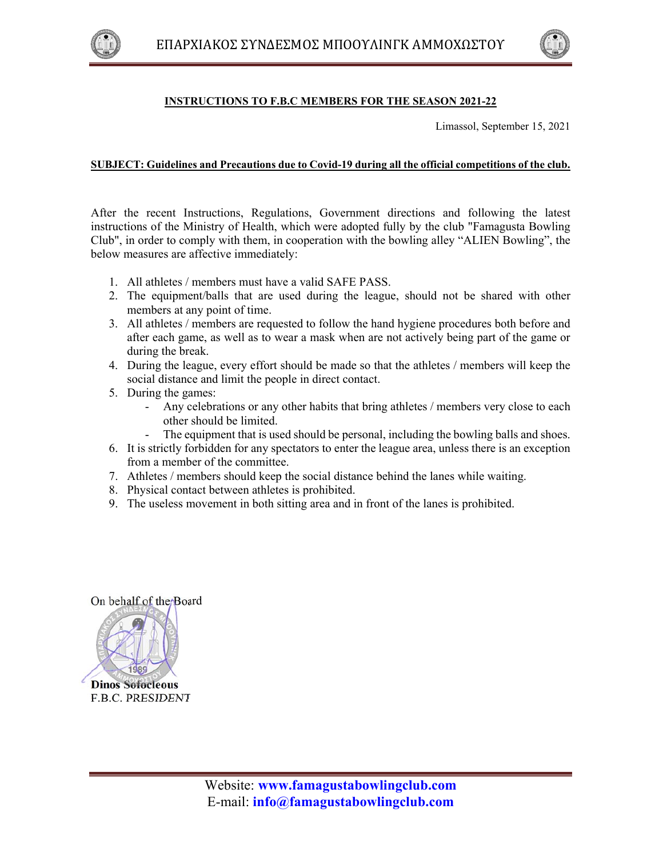



## **INSTRUCTIONS TO F.B.C MEMBERS FOR THE SEASON 2021-22**

Limassol, September 15, 2021

## **SUBJECT: Guidelines and Precautions due to Covid-19 during all the official competitions of the club.**

After the recent Instructions, Regulations, Government directions and following the latest instructions of the Ministry of Health, which were adopted fully by the club "Famagusta Bowling Club", in order to comply with them, in cooperation with the bowling alley "ALIEN Bowling", the below measures are affective immediately:

- 1. All athletes / members must have a valid SAFE PASS.
- 2. The equipment/balls that are used during the league, should not be shared with other members at any point of time.
- 3. All athletes / members are requested to follow the hand hygiene procedures both before and after each game, as well as to wear a mask when are not actively being part of the game or during the break.
- 4. During the league, every effort should be made so that the athletes / members will keep the social distance and limit the people in direct contact.
- 5. During the games:
	- Any celebrations or any other habits that bring athletes / members very close to each other should be limited.
	- The equipment that is used should be personal, including the bowling balls and shoes.
- 6. It is strictly forbidden for any spectators to enter the league area, unless there is an exception from a member of the committee.
- 7. Athletes / members should keep the social distance behind the lanes while waiting.
- 8. Physical contact between athletes is prohibited.
- 9. The useless movement in both sitting area and in front of the lanes is prohibited.